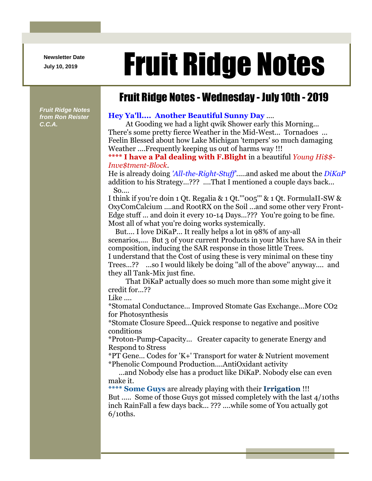**Newsletter Date**

## Newsletter Date **Fruit Ridge Notes**

## Fruit Ridge Notes - Wednesday - July 10th - 2019

*Fruit Ridge Notes from Ron Reister C.C.A.*

## **Hey Ya'll.... Another Beautiful Sunny Day** ....

At Gooding we had a light qwik Shower early this Morning... There's some pretty fierce Weather in the Mid-West... Tornadoes ... Feelin Blessed about how Lake Michigan 'tempers' so much damaging Weather ....Frequently keeping us out of harms way !!!

## **\*\*\*\* I have a Pal dealing with F.Blight** in a beautiful *Young Hi\$\$- Inve\$tment-Block*.

He is already doing *'All-the-Right-Stuff'*.....and asked me about the *DiKaP* addition to his Strategy...??? ....That I mentioned a couple days back... So....

I think if you're doin 1 Qt. Regalia & 1 Qt.'''005''' & 1 Qt. FormulaII-SW & OxyComCalcium ....and RootRX on the Soil ...and some other very Front-Edge stuff ... and doin it every 10-14 Days...??? You're going to be fine. Most all of what you're doing works systemically.

But.... I love DiKaP... It really helps a lot in 98% of any-all scenarios,.... But 3 of your current Products in your Mix have SA in their composition, inducing the SAR response in those little Trees. I understand that the Cost of using these is very minimal on these tiny Trees...?? ...so I would likely be doing ''all of the above'' anyway.... and

they all Tank-Mix just fine.

That DiKaP actually does so much more than some might give it credit for...??

Like ....

\*Stomatal Conductance... Improved Stomate Gas Exchange...More CO2 for Photosynthesis

\*Stomate Closure Speed...Quick response to negative and positive conditions

\*Proton-Pump-Capacity... Greater capacity to generate Energy and Respond to Stress

\*PT Gene... Codes for 'K+' Transport for water & Nutrient movement \*Phenolic Compound Production....AntiOxidant activity

...and Nobody else has a product like DiKaP. Nobody else can even make it.

**\*\*\*\* Some Guys** are already playing with their **Irrigation** !!!

But ..... Some of those Guys got missed completely with the last 4/10ths inch RainFall a few days back... ??? ....while some of You actually got 6/10ths.